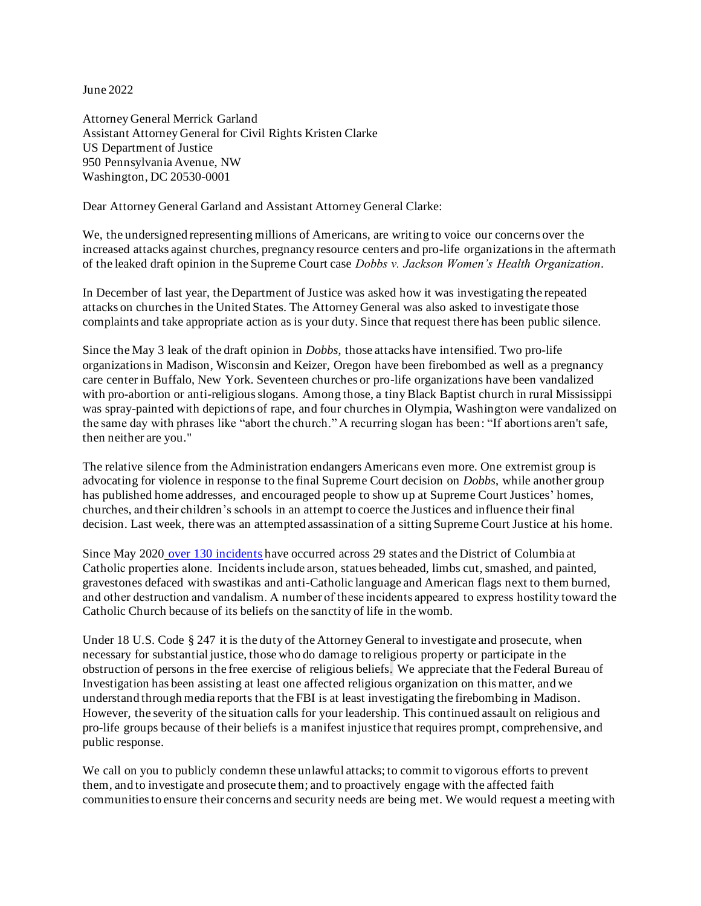June 2022

Attorney General Merrick Garland Assistant Attorney General for Civil Rights Kristen Clarke US Department of Justice 950 Pennsylvania Avenue, NW Washington, DC 20530-0001

Dear Attorney General Garland and Assistant Attorney General Clarke:

We, the undersigned representing millions of Americans, are writing to voice our concerns over the increased attacks against churches, pregnancy resource centers and pro-life organizations in the aftermath of the leaked draft opinion in the Supreme Court case *Dobbs v. Jackson Women's Health Organization*.

In December of last year, the Department of Justice was asked how it was investigating the repeated attacks on churches in the United States. The Attorney General was also asked to investigate those complaints and take appropriate action as is your duty. Since that request there has been public silence.

Since the May 3 leak of the draft opinion in *Dobbs*, those attacks have intensified. Two pro-life organizations in Madison, Wisconsin and Keizer, Oregon have been firebombed as well as a pregnancy care center in Buffalo, New York. Seventeen churches or pro-life organizations have been vandalized with pro-abortion or anti-religious slogans. Among those, a tiny Black Baptist church in rural Mississippi was spray-painted with depictions of rape, and four churches in Olympia, Washington were vandalized on the same day with phrases like "abort the church." A recurring slogan has been: "If abortions aren't safe, then neither are you."

The relative silence from the Administration endangers Americans even more. One extremist group is advocating for violence in response to the final Supreme Court decision on *Dobbs*, while another group has published home addresses, and encouraged people to show up at Supreme Court Justices' homes, churches, and their children's schools in an attempt to coerce the Justices and influence their final decision. Last week, there was an attempted assassination of a sitting Supreme Court Justice at his home.

Since May 2020 [over 130 incidents](https://www.usccb.org/committees/religious-liberty/Backgrounder-Attacks-on-Catholic-Churches-in-US) have occurred across 29 states and the District of Columbia at Catholic properties alone.  Incidents include arson, statues beheaded, limbs cut, smashed, and painted, gravestones defaced with swastikas and anti-Catholic language and American flags next to them burned, and other destruction and vandalism. A number of these incidents appeared to express hostility toward the Catholic Church because of its beliefs on the sanctity of life in the womb.

Under 18 U.S. Code § 247 it is the duty of the Attorney General to investigate and prosecute, when necessary for substantial justice, those who do damage to religious property or participate in the obstruction of persons in the free exercise of religious beliefs. We appreciate that the Federal Bureau of Investigation has been assisting at least one affected religious organization on this matter, and we understand through media reports that the FBI is at least investigating the firebombing in Madison. However, the severity of the situation calls for your leadership. This continued assault on religious and pro-life groups because of their beliefs is a manifest injustice that requires prompt, comprehensive, and public response.

We call on you to publicly condemn these unlawful attacks; to commit to vigorous efforts to prevent them, and to investigate and prosecute them; and to proactively engage with the affected faith communities to ensure their concerns and security needs are being met. We would request a meeting with